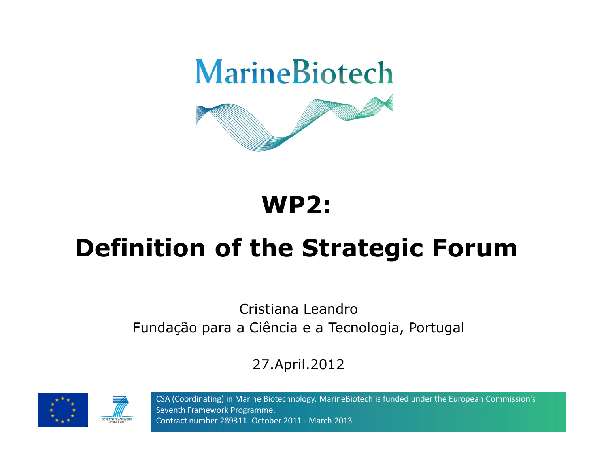

## **WP2:**

# **Definition of the Strategic Forum**

#### Cristiana LeandroFundação para a Ciência e a Tecnologia, Portugal

#### 27.April.2012





CSA (Coordinating) in Marine Biotechnology. MarineBiotech is funded under the European Commission's Seventh Framework Programme. Contract number 289311. October 2011 - March 2013.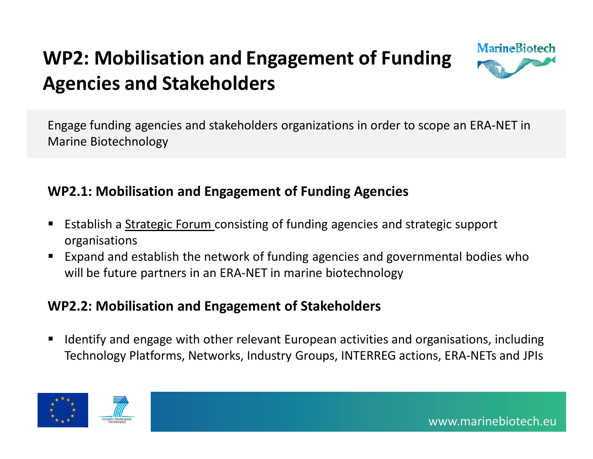

Engage funding agencies and stakeholders organizations in order to scope an ERA-NET in Marine Biotechnology

#### **WP2.1: Mobilisation and Engagement of Funding Agencies**

- Establish a Strategic Forum consisting of funding agencies and strategic support organisations
- Expand and establish the network of funding agencies and governmental bodies who ■ will be future partners in an ERA-NET in marine biotechnology

#### **WP2.2: Mobilisation and Engagement of Stakeholders**

■ Identify and engage with other relevant European activities and organisations, including Technology Platforms, Networks, Industry Groups, INTERREG actions, ERA-NETs and JPIs



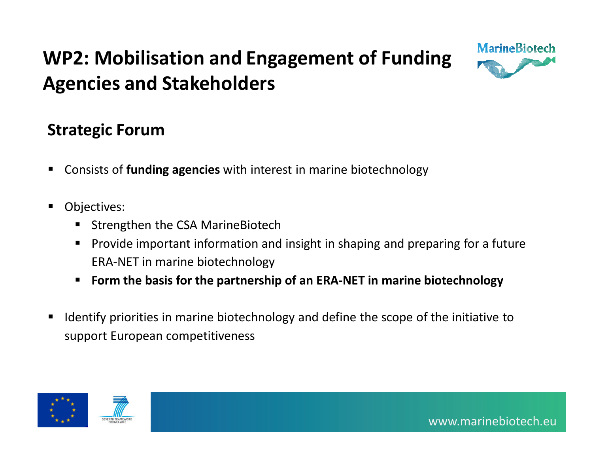

#### **Strategic Forum**

- Consists of **funding agencies** with interest in marine biotechnology
- $\blacksquare$  Objectives:
	- $\blacksquare$ Strengthen the CSA MarineBiotech
	- $\blacksquare$  Provide important information and insight in shaping and preparing for a future ERA-NET in marine biotechnology
	- п **Form the basis for the partnership of an ERA-NET in marine biotechnology**
- $\blacksquare$  Identify priorities in marine biotechnology and define the scope of the initiative to support European competitiveness



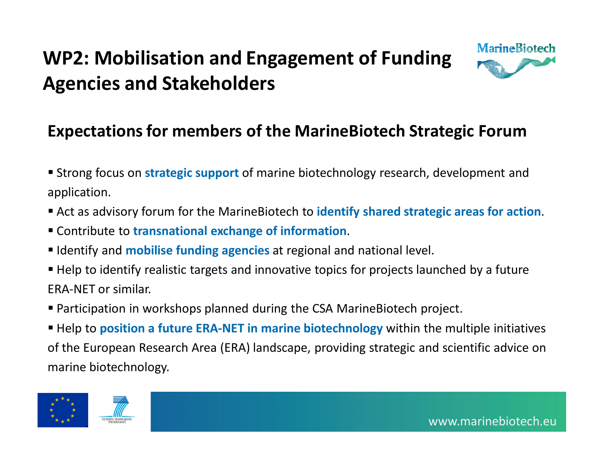

#### **Expectations for members of the MarineBiotech Strategic Forum**

- Strong focus on **strategic support** of marine biotechnology research, development and application.
- Act as advisory forum for the MarineBiotech to **identify shared strategic areas for action**.
- Contribute to **transnational exchange of information**.
- **I** Identify and **mobilise funding agencies** at regional and national level.
- Help to identify realistic targets and innovative topics for projects launched by a future ERA-NET or similar.
- Participation in workshops planned during the CSA MarineBiotech project.
- Help to **position a future ERA-NET in marine biotechnology** within the multiple initiatives of the European Research Area (ERA) landscape, providing strategic and scientific advice on marine biotechnology.



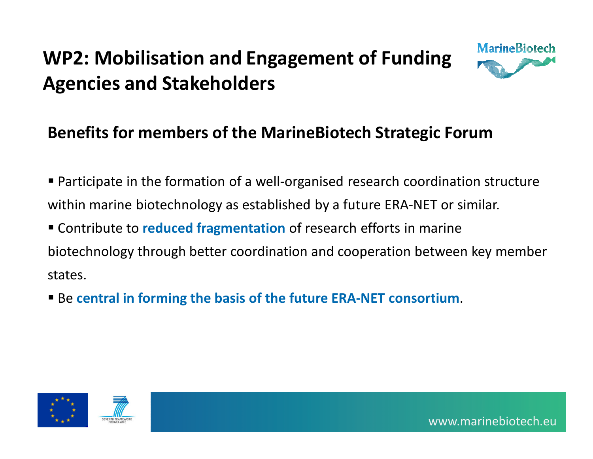

### **Benefits for members of the MarineBiotech Strategic Forum**

 Participate in the formation of a well-organised research coordination structure within marine biotechnology as established by a future ERA-NET or similar.

 Contribute to **reduced fragmentation** of research efforts in marine biotechnology through better coordination and cooperation between key member states.

Be **central in forming the basis of the future ERA-NET consortium**.



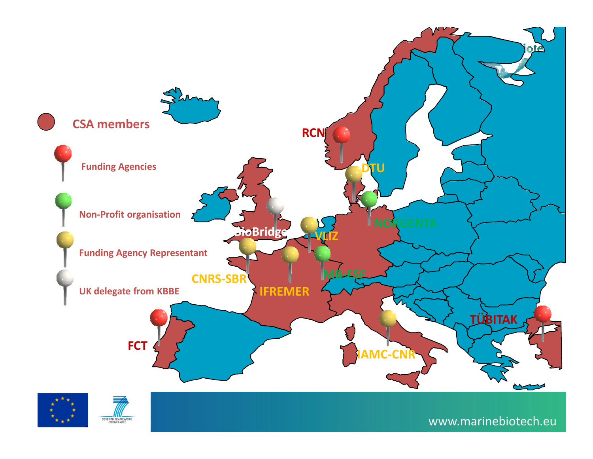

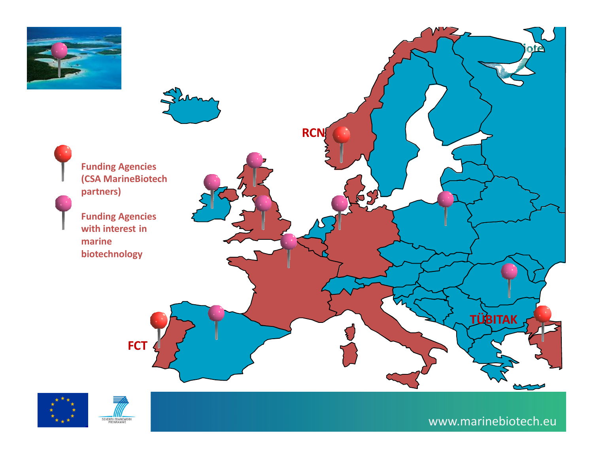

**Funding Agencies (CSA MarineBiotech partners)**

**Funding Agencies with interest in marine biotechnology**





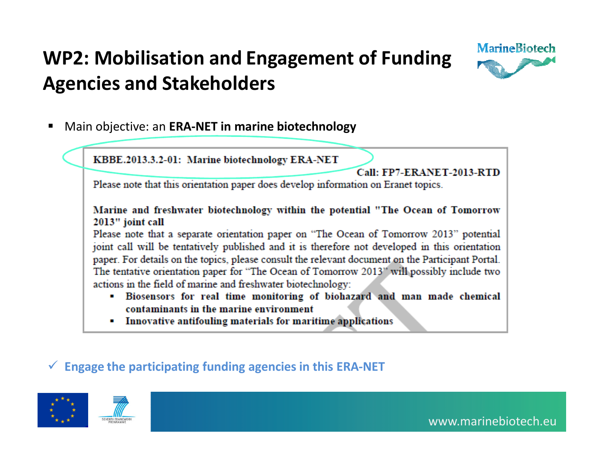

■ Main objective: an **ERA-NET in marine biotechnology**

KBBE.2013.3.2-01: Marine biotechnology ERA-NET

Call: FP7-ERANET-2013-RTD

Please note that this orientation paper does develop information on Eranet topics.

Marine and freshwater biotechnology within the potential "The Ocean of Tomorrow 2013" joint call

Please note that a separate orientation paper on "The Ocean of Tomorrow 2013" potential joint call will be tentatively published and it is therefore not developed in this orientation paper. For details on the topics, please consult the relevant document on the Participant Portal. The tentative orientation paper for "The Ocean of Tomorrow 2013" will possibly include two actions in the field of marine and freshwater biotechnology:

- Biosensors for real time monitoring of biohazard and man made chemical  $\blacksquare$ contaminants in the marine environment
- Innovative antifouling materials for maritime applications

## - **Engage the participating funding agencies in this ERA-NET**



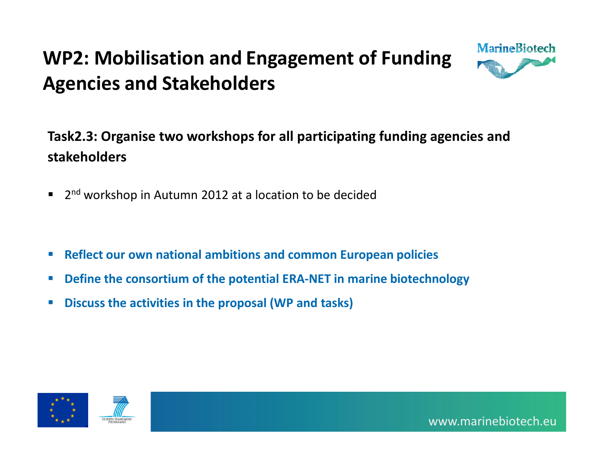

#### **Task2.3: Organise two workshops for all participating funding agencies and stakeholders**

- $\blacksquare$ 2<sup>nd</sup> workshop in Autumn 2012 at a location to be decided
- П **Reflect our own national ambitions and common European policies**
- **Define the consortium of the potential ERA-NET in marine biotechnology**
- П **Discuss the activities in the proposal (WP and tasks)**